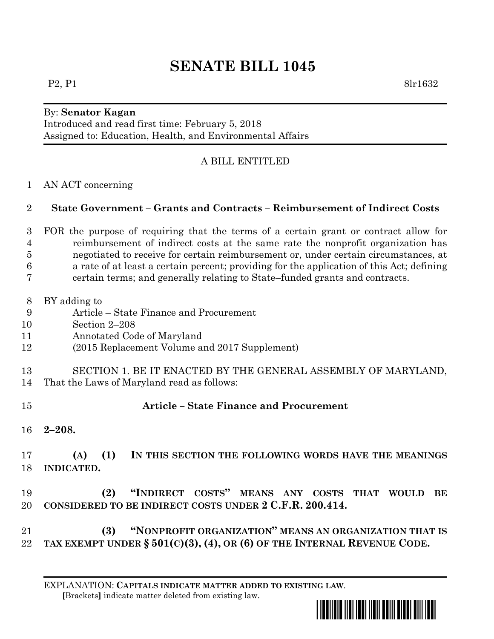# **SENATE BILL 1045**

#### By: **Senator Kagan**

Introduced and read first time: February 5, 2018 Assigned to: Education, Health, and Environmental Affairs

## A BILL ENTITLED

## AN ACT concerning

## **State Government – Grants and Contracts – Reimbursement of Indirect Costs**

- FOR the purpose of requiring that the terms of a certain grant or contract allow for reimbursement of indirect costs at the same rate the nonprofit organization has negotiated to receive for certain reimbursement or, under certain circumstances, at a rate of at least a certain percent; providing for the application of this Act; defining certain terms; and generally relating to State–funded grants and contracts.
- BY adding to
- Article State Finance and Procurement
- Section 2–208
- Annotated Code of Maryland
- (2015 Replacement Volume and 2017 Supplement)
- SECTION 1. BE IT ENACTED BY THE GENERAL ASSEMBLY OF MARYLAND,
- That the Laws of Maryland read as follows:
- **Article – State Finance and Procurement**
- **2–208.**
- **(A) (1) IN THIS SECTION THE FOLLOWING WORDS HAVE THE MEANINGS INDICATED.**
- **(2) "INDIRECT COSTS" MEANS ANY COSTS THAT WOULD BE CONSIDERED TO BE INDIRECT COSTS UNDER 2 C.F.R. 200.414.**
- **(3) "NONPROFIT ORGANIZATION" MEANS AN ORGANIZATION THAT IS TAX EXEMPT UNDER § 501(C)(3), (4), OR (6) OF THE INTERNAL REVENUE CODE.**